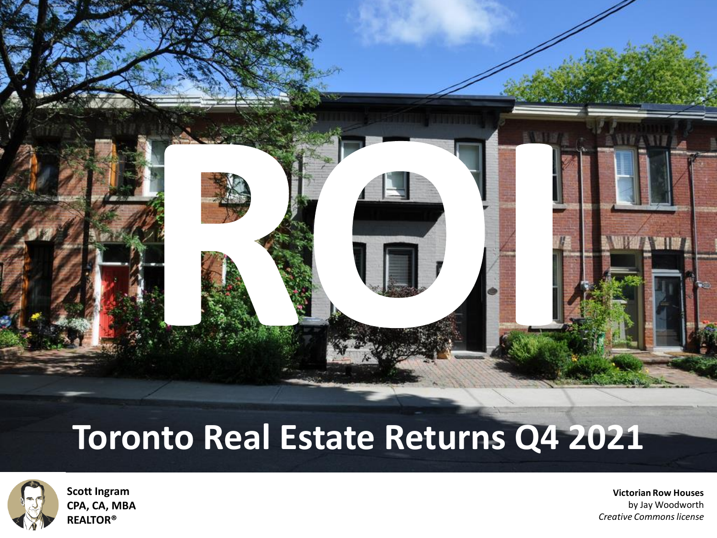

### **Toronto Real Estate Returns Q4 2021**



**Scott Ingram [CPA, CA, MBA](https://creativecommons.org/licenses/by/2.0/) REALTOR®**

**Victorian Row Houses**  by Jay Woodworth *[Creative Commons license](https://www.flickr.com/photos/jaywphotos/)*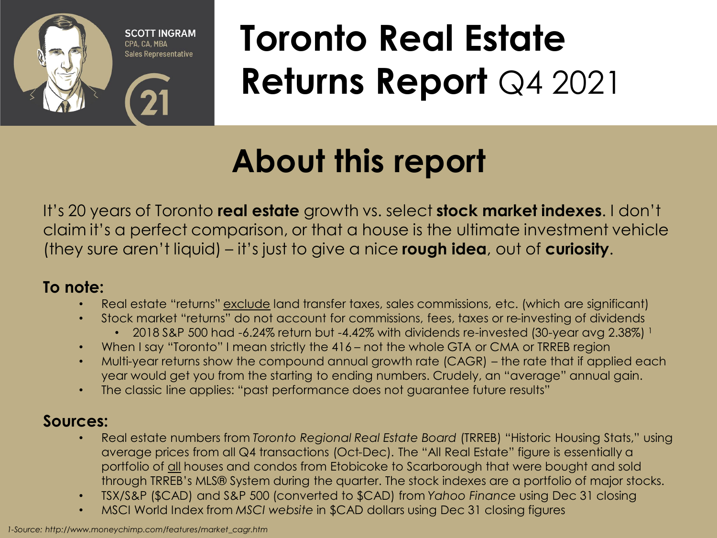

## **Toronto Real Estate Returns Report** Q4 2021

### **About this report**

It's 20 years of Toronto **real estate** growth vs. select **stock market indexes**. I don't claim it's a perfect comparison, or that a house is the ultimate investment vehicle (they sure aren't liquid) – it's just to give a nice **rough idea**, out of **curiosity**.

#### **To note:**

- Real estate "returns" exclude land transfer taxes, sales commissions, etc. (which are significant)
- Stock market "returns" do not account for commissions, fees, taxes or re-investing of dividends
	- 2018 S&P 500 had -6.24% return but -4.42% with dividends re-invested (30-year avg 2.38%)  $^1$
- When I say "Toronto" I mean strictly the 416 not the whole GTA or CMA or TRREB region
- Multi-year returns show the compound annual growth rate (CAGR) the rate that if applied each year would get you from the starting to ending numbers. Crudely, an "average" annual gain.
- The classic line applies: "past performance does not guarantee future results"

#### **Sources:**

- Real estate numbers from *Toronto Regional Real Estate Board* (TRREB) "Historic Housing Stats," using average prices from all Q4 transactions (Oct-Dec). The "All Real Estate" figure is essentially a portfolio of all houses and condos from Etobicoke to Scarborough that were bought and sold through TRREB's MLS® System during the quarter. The stock indexes are a portfolio of major stocks.
- TSX/S&P (\$CAD) and S&P 500 (converted to \$CAD) from *Yahoo Finance* using Dec 31 closing
- MSCI World Index from *MSCI website* in \$CAD dollars using Dec 31 closing figures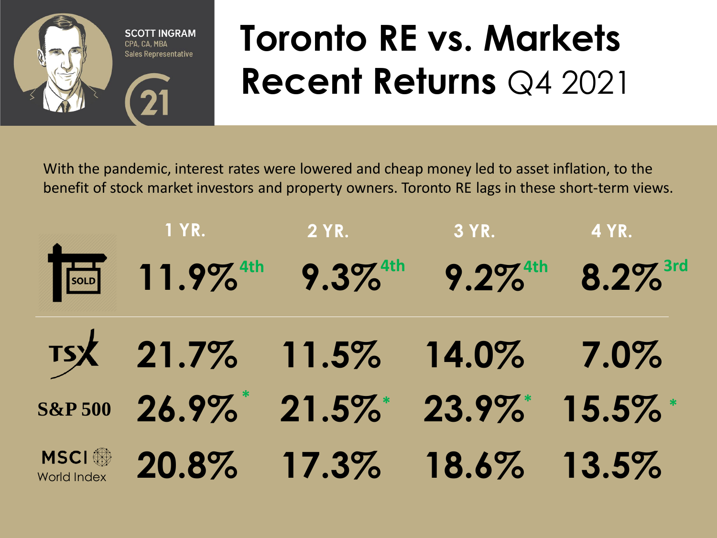

## **Toronto RE vs. Markets Recent Returns** Q4 2021

With the pandemic, interest rates were lowered and cheap money led to asset inflation, to the benefit of stock market investors and property owners. Toronto RE lags in these short-term views.

|                                   | <b>TEREST TELEVISION</b>                                                         | $2$ YR.                 | $3$ YR. | 4 YR. |
|-----------------------------------|----------------------------------------------------------------------------------|-------------------------|---------|-------|
|                                   | 11.9% <sup>4th</sup> 9.3% <sup>4th</sup> 9.2% <sup>4th</sup> 8.2% <sup>3rd</sup> |                         |         |       |
|                                   | TSX 21.7% 11.5% 14.0% 7.0%                                                       |                         |         |       |
|                                   | S&P 500 26.9% 21.5% 23.9% 15.5%                                                  |                         |         |       |
| <b>MSCI</b><br><b>World Index</b> |                                                                                  | 20.8% 17.3% 18.6% 13.5% |         |       |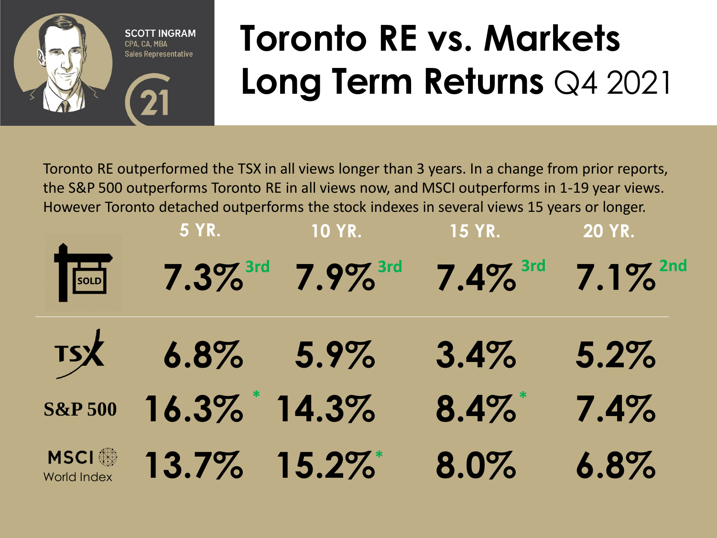

## **Toronto RE vs. Markets Long Term Returns** Q4 2021

Toronto RE outperformed the TSX in all views longer than 3 years. In a change from prior reports, the S&P 500 outperforms Toronto RE in all views now, and MSCI outperforms in 1-19 year views. However Toronto detached outperforms the stock indexes in several views 15 years or longer.

|                                   | <b>5 YR.</b>          | <b>10 YR.</b>                                                                               | <b>15 YR.</b> | <b>20 YR.</b> |
|-----------------------------------|-----------------------|---------------------------------------------------------------------------------------------|---------------|---------------|
| SOLD                              |                       | $7.3\%$ <sup>3rd</sup> $7.9\%$ <sup>3rd</sup> $7.4\%$ <sup>3rd</sup> $7.1\%$ <sup>2nd</sup> |               |               |
|                                   | $TSX = 6.8\% = 5.9\%$ |                                                                                             | 3.4%          | 5.2%          |
| <b>S&amp;P 500</b>                | 16.3% 14.3%           |                                                                                             | $8.4\%$       | 7.4%          |
| <b>MSCI</b><br><b>World Index</b> | 13.7% 15.2%           |                                                                                             | 8.0%          | 6.8%          |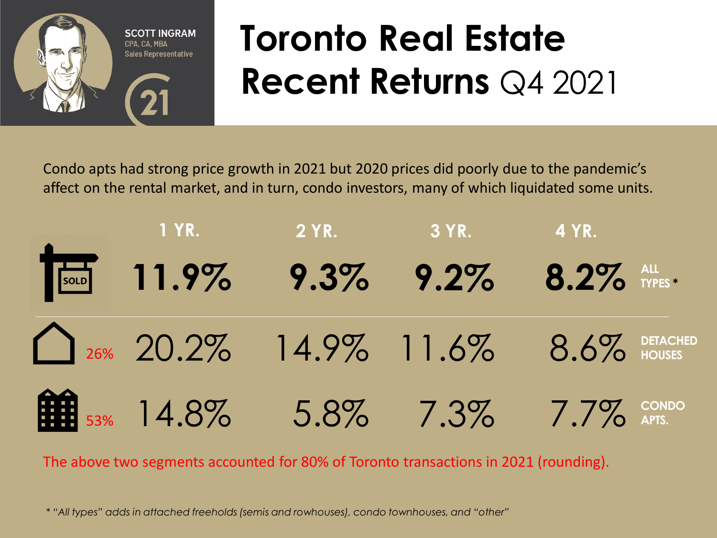

## **Toronto Real Estate Recent Returns** Q4 2021

Condo apts had strong price growth in 2021 but 2020 prices did poorly due to the pandemic's affect on the rental market, and in turn, condo investors, many of which liquidated some units.



The above two segments accounted for 80% of Toronto transactions in 2021 (rounding).

*\* "All types" adds in attached freeholds (semis and rowhouses), condo townhouses, and "other"*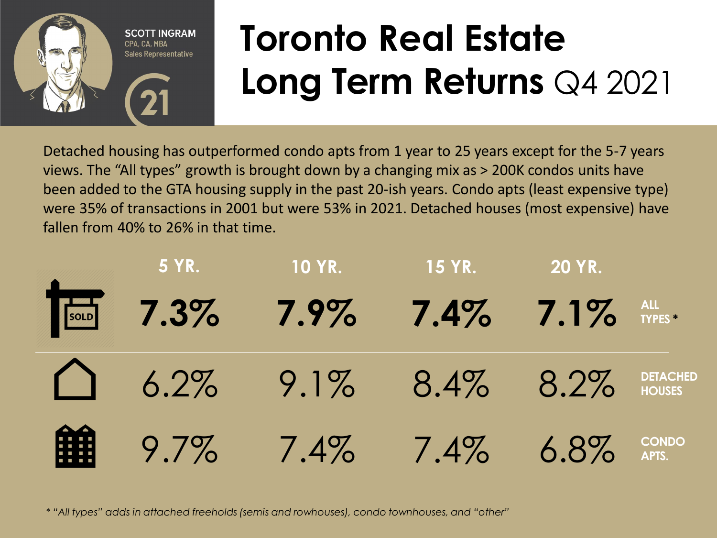

# **Toronto Real Estate Long Term Returns** Q4 2021

Detached housing has outperformed condo apts from 1 year to 25 years except for the 5-7 years views. The "All types" growth is brought down by a changing mix as > 200K condos units have been added to the GTA housing supply in the past 20-ish years. Condo apts (least expensive type) were 35% of transactions in 2001 but were 53% in 2021. Detached houses (most expensive) have fallen from 40% to 26% in that time.

| <b>5 YR.</b> | <b>10 YR.</b>                            | $15$ YR. | <b>20 YR.</b> |  |
|--------------|------------------------------------------|----------|---------------|--|
|              | 7.3% 7.9% 7.4% 7.1% $\frac{1}{100}$ 7.1% |          |               |  |
|              | 6.2% 9.1% 8.4% 8.2% DETACHED             |          |               |  |
|              | <b>EXERCISE 1.4%</b> 7.4% 6.8% CONDO     |          |               |  |

*\* "All types" adds in attached freeholds (semis and rowhouses), condo townhouses, and "other"*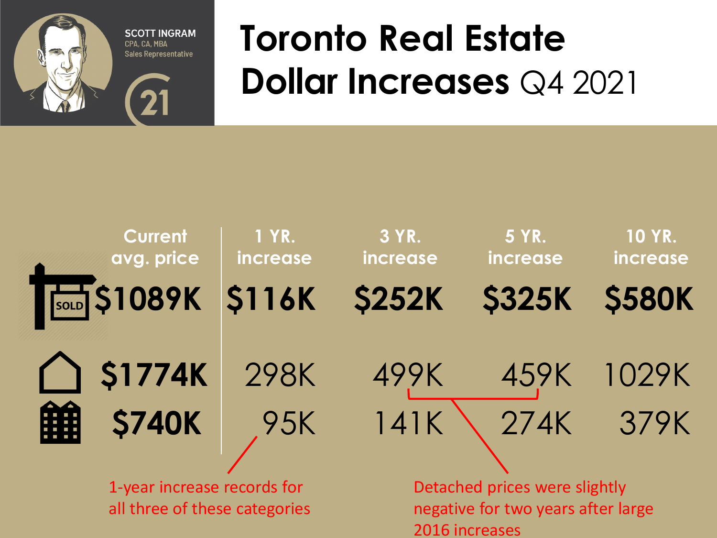

### **Toronto Real Estate Dollar Increases** Q4 2021



all three of these categories

negative for two years after large 2016 increases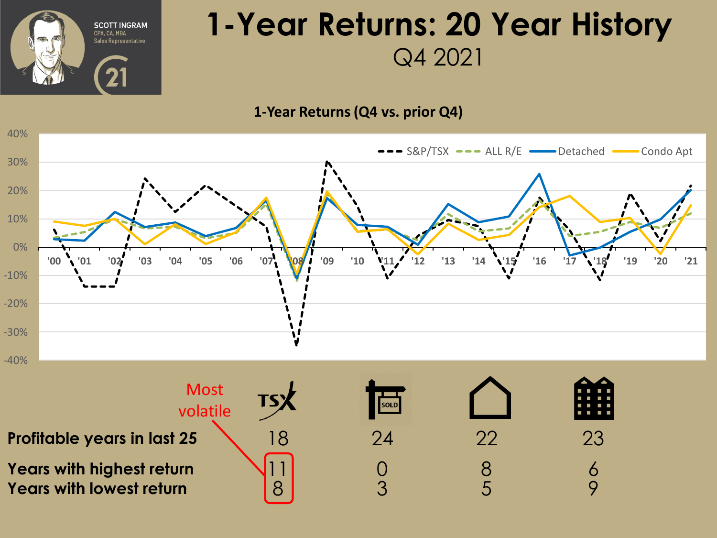

### **1-Year Returns: 20 Year History** Q4 2021

#### **1-Year Returns (Q4 vs. prior Q4)**



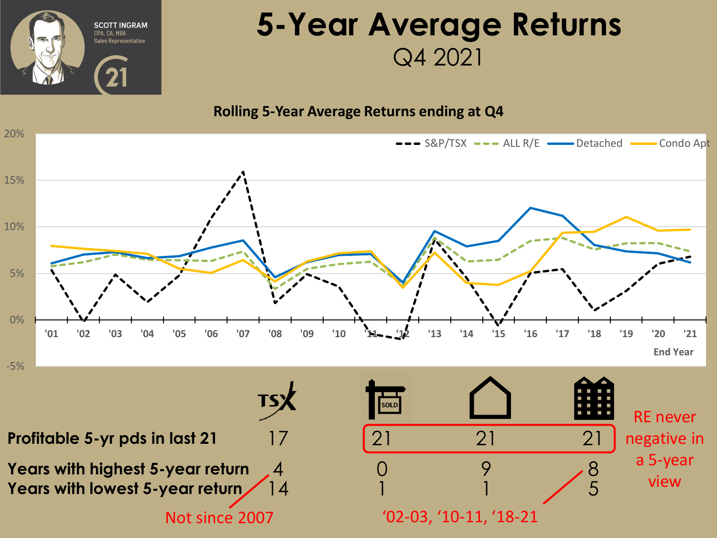

### **5-Year Average Returns** Q4 2021

#### **Rolling 5-Year Average Returns ending at Q4**

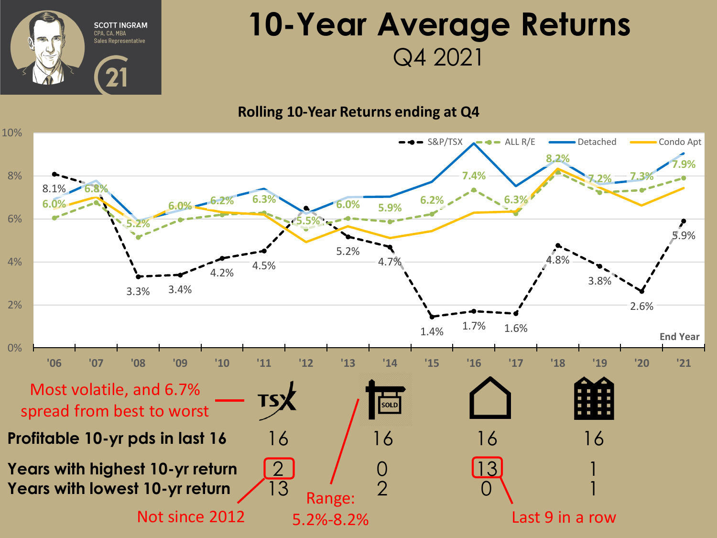

### **10-Year Average Returns** Q4 2021

#### **Rolling 10-Year Returns ending at Q4**

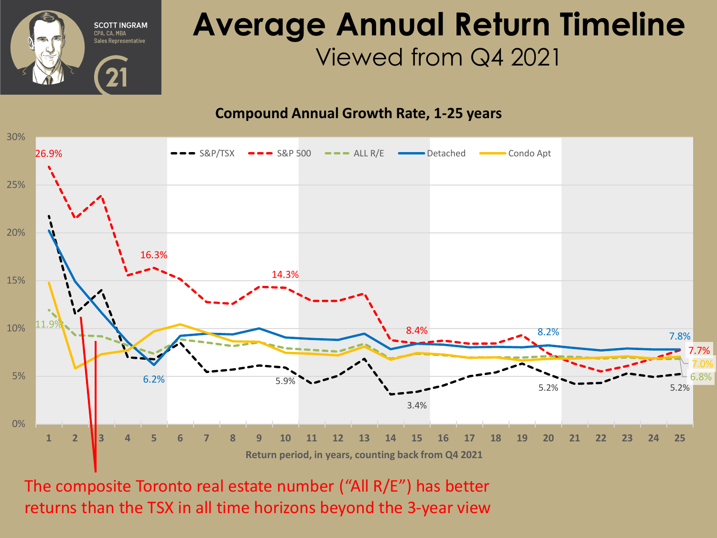

### **Average Annual Return Timeline** Viewed from Q4 2021

**Compound Annual Growth Rate, 1-25 years**



The composite Toronto real estate number ("All R/E") has better returns than the TSX in all time horizons beyond the 3-year view